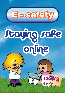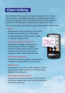# **Cyber bullying**

Cyber bullying is when a person, or a group of people, uses the internet, mobile phones or other digital technologies to threaten, tease or abuse someone. It's against the law to bully someone this way and if someone is being mean or threatening you, something can be done to stop them.

There are lots of ways cyber bullies can target someone, some of which may be:

#### **• Email**

Sending abusive emails to someone, or to a group of people, who may then join in the bullying.

Sending inappropriate videos and other content or computer viruses by email.

## **• Instant messaging and chatrooms**

Using instant messaging and chatrooms to send threatening or abusive messages to someone and asking others to join in. Using another person's account to send abusive messages to others without their permission.

### **• Social networking sites**

Creating fake profiles for people or leaving abusive messages on existing profiles for others to see.

### **• Mobile phone**

Sending abusive text, video or photo messages as well as sharing videos of physical attacks on individuals (happy slapping or blue jacking, etc).

## **• Abusing personal information**

Posting photos, personal information or fake comments and blogs on websites where they can be seen by anyone without your permission.

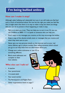# **I'm being bullied online**

## **How can I make it stop?**

Although cyber bullying can't physically hurt you it can still make you feel bad and is a form of emotional abuse. No one has the right you make you feel like this. It might seem that there is no way to make it stop, but there are things that you can do to prevent it from happening or make it stop.

- Talk to an adult you trust. They can help you to sort it out. Or you can call Childline on 0800 1111 to speak to someone who can help you.
- Don't reply to any messages you receive, as this may encourage the bullies.
- Keep a copy of the abusive emails, texts or messages that you receive and when they were sent to you.
- Never give out any personal details on the internet such as your real name, address, age or phone number. Even telling someone which school you go to can help them find out information about you.
- Change your online nicknames or user ID to something different.
- Block email addresses and complain to their host website.

## **Who else can I talk to?**

- A teacher
- Your parent/carer
- A trusted adult
- Your social worker
- The Participation and Rights Team
- Other organisations listed on page 7

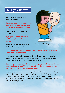## **Did you know?**

You have to be 13+ to have a Facebook account.

**If you use your phone to go online your personal information may be shared without you knowing.**

People may not be who they say they are!

**If you put personal info on your profile, people can steal your identity.**



Even if you delete your page, it will still be online as a public document.

*"I might not be who you think I am."*

## **When you think you're just chatting to friends, it may be an open forum which anyone can see.**

Be aware that information on your profile could potentially be viewed by anyone. So if you wouldn't be comfortable printing it off and handing it out on the street, maybe it shouldn't be on your profile.

**It's not a great idea to post where you're going or where you live on your profile or twitter. Think through if you'd want everyone who can view the post to turn up at any time!**

Only upload pictures that you'd be happy for your teacher to see – anything you wouldn't want on the school notice board should NOT make it onto the web, as you don't know who could be looking at it or what they might be doing with it. Once your picture is out there, it's out there forever and you won't be able to get it back.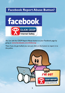# **Facebook Report Abuse Button?**



You can add the CEOP Report Abuse button to your Facebook page by going to **www.facebook.com/clickceop**

Then if you do get bullied you can just click on the button to report it to the police.

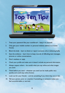

- 1. Treat your password like your toothbrush keep it to yourself.
- 2. Only give your mobile number or personal website address to trusted friends.
- 3. Block the bully learn to block or report someone who is behaving badly.
- 4. Save the evidence learn how to keep records of offending text messages, pictures or online conversations.
- 5. Don't retaliate or reply.
- 6. Check your profile and make sure it doesn't include any personal information.
- 7. Always respect others be careful what you say online and what images you send.
- 8. Think before you send whatever you send can be made public very quickly and could stay online forever.
- 9. Look out for your friends and do something if you think they are at risk.
- 10. Tell your parent, carer or a teacher if something or someone makes you feel uncomfortable or worried.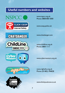# **Useful numbers and websites**

# NSPCC O



**CHATDANGER** 

**ChildLine** 

0800 1111

www.nspcc.org.uk Phone: 0808 800 5000

www.ceop.police.uk

www.chatdanger.com

www.childline.org.uk Phone: 0800 1111

www.cybermentors.org.uk





**Cyber<br>Mentors** 

www.rights4u.org.uk Phone: (01482) 396828

www.thinkyouknow.co.uk